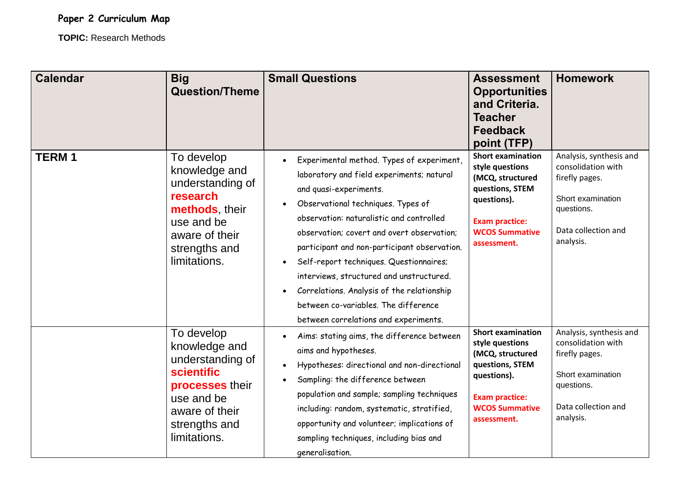## **Paper 2 Curriculum Map**

**TOPIC:** Research Methods

| <b>Calendar</b> | <b>Big</b><br><b>Question/Theme</b>                                                                                                                      | <b>Small Questions</b>                                                                                                                                                                                                                                                                                                                                                                                                                                                                                                 | <b>Assessment</b><br><b>Opportunities</b><br>and Criteria.<br><b>Teacher</b><br><b>Feedback</b><br>point (TFP)                                                     | <b>Homework</b>                                                                                                                        |
|-----------------|----------------------------------------------------------------------------------------------------------------------------------------------------------|------------------------------------------------------------------------------------------------------------------------------------------------------------------------------------------------------------------------------------------------------------------------------------------------------------------------------------------------------------------------------------------------------------------------------------------------------------------------------------------------------------------------|--------------------------------------------------------------------------------------------------------------------------------------------------------------------|----------------------------------------------------------------------------------------------------------------------------------------|
| <b>TERM1</b>    | To develop<br>knowledge and<br>understanding of<br>research<br>methods, their<br>use and be<br>aware of their<br>strengths and<br>limitations.           | Experimental method. Types of experiment,<br>laboratory and field experiments; natural<br>and quasi-experiments.<br>Observational techniques. Types of<br>observation: naturalistic and controlled<br>observation; covert and overt observation;<br>participant and non-participant observation.<br>Self-report techniques. Questionnaires;<br>interviews, structured and unstructured.<br>Correlations. Analysis of the relationship<br>between co-variables. The difference<br>between correlations and experiments. | <b>Short examination</b><br>style questions<br>(MCQ, structured<br>questions, STEM<br>questions).<br><b>Exam practice:</b><br><b>WCOS Summative</b><br>assessment. | Analysis, synthesis and<br>consolidation with<br>firefly pages.<br>Short examination<br>questions.<br>Data collection and<br>analysis. |
|                 | To develop<br>knowledge and<br>understanding of<br><b>scientific</b><br>processes their<br>use and be<br>aware of their<br>strengths and<br>limitations. | Aims: stating aims, the difference between<br>aims and hypotheses.<br>Hypotheses: directional and non-directional<br>$\bullet$<br>Sampling: the difference between<br>$\bullet$<br>population and sample; sampling techniques<br>including: random, systematic, stratified,<br>opportunity and volunteer; implications of<br>sampling techniques, including bias and<br>generalisation.                                                                                                                                | <b>Short examination</b><br>style questions<br>(MCQ, structured<br>questions, STEM<br>questions).<br><b>Exam practice:</b><br><b>WCOS Summative</b><br>assessment. | Analysis, synthesis and<br>consolidation with<br>firefly pages.<br>Short examination<br>questions.<br>Data collection and<br>analysis. |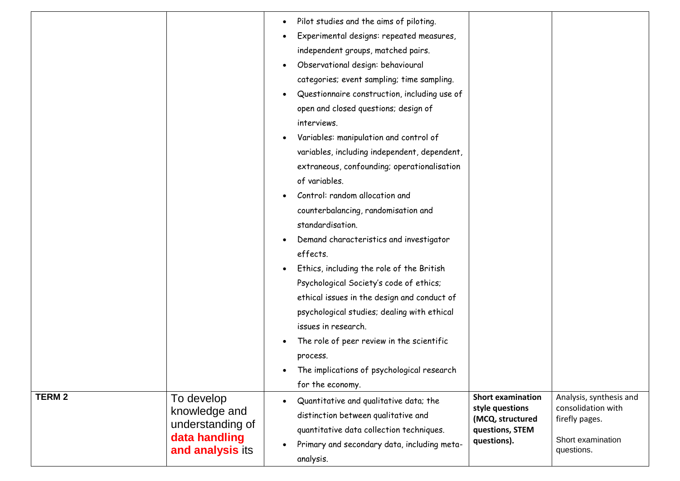| Pilot studies and the aims of piloting.<br>$\bullet$<br>Experimental designs: repeated measures,<br>independent groups, matched pairs.<br>Observational design: behavioural<br>$\bullet$<br>categories; event sampling; time sampling.<br>Questionnaire construction, including use of<br>open and closed questions; design of<br>interviews.<br>Variables: manipulation and control of<br>$\bullet$<br>variables, including independent, dependent,<br>extraneous, confounding; operationalisation<br>of variables.<br>Control: random allocation and<br>counterbalancing, randomisation and<br>standardisation.<br>Demand characteristics and investigator<br>$\bullet$<br>effects.<br>Ethics, including the role of the British<br>Psychological Society's code of ethics;<br>ethical issues in the design and conduct of<br>psychological studies; dealing with ethical<br>issues in research.<br>The role of peer review in the scientific<br>process.<br>The implications of psychological research<br>for the economy.<br><b>TERM 2</b><br>Analysis, synthesis and<br><b>Short examination</b><br>To develop<br>Quantitative and qualitative data; the<br>consolidation with<br>style questions<br>knowledge and<br>distinction between qualitative and<br>(MCQ, structured<br>firefly pages.<br>understanding of<br>quantitative data collection techniques.<br>questions, STEM<br>data handling<br>Short examination<br>questions).<br>Primary and secondary data, including meta-<br>and analysis its<br>questions.<br>analysis. |  |  |
|--------------------------------------------------------------------------------------------------------------------------------------------------------------------------------------------------------------------------------------------------------------------------------------------------------------------------------------------------------------------------------------------------------------------------------------------------------------------------------------------------------------------------------------------------------------------------------------------------------------------------------------------------------------------------------------------------------------------------------------------------------------------------------------------------------------------------------------------------------------------------------------------------------------------------------------------------------------------------------------------------------------------------------------------------------------------------------------------------------------------------------------------------------------------------------------------------------------------------------------------------------------------------------------------------------------------------------------------------------------------------------------------------------------------------------------------------------------------------------------------------------------------------------------------|--|--|
|                                                                                                                                                                                                                                                                                                                                                                                                                                                                                                                                                                                                                                                                                                                                                                                                                                                                                                                                                                                                                                                                                                                                                                                                                                                                                                                                                                                                                                                                                                                                            |  |  |
|                                                                                                                                                                                                                                                                                                                                                                                                                                                                                                                                                                                                                                                                                                                                                                                                                                                                                                                                                                                                                                                                                                                                                                                                                                                                                                                                                                                                                                                                                                                                            |  |  |
|                                                                                                                                                                                                                                                                                                                                                                                                                                                                                                                                                                                                                                                                                                                                                                                                                                                                                                                                                                                                                                                                                                                                                                                                                                                                                                                                                                                                                                                                                                                                            |  |  |